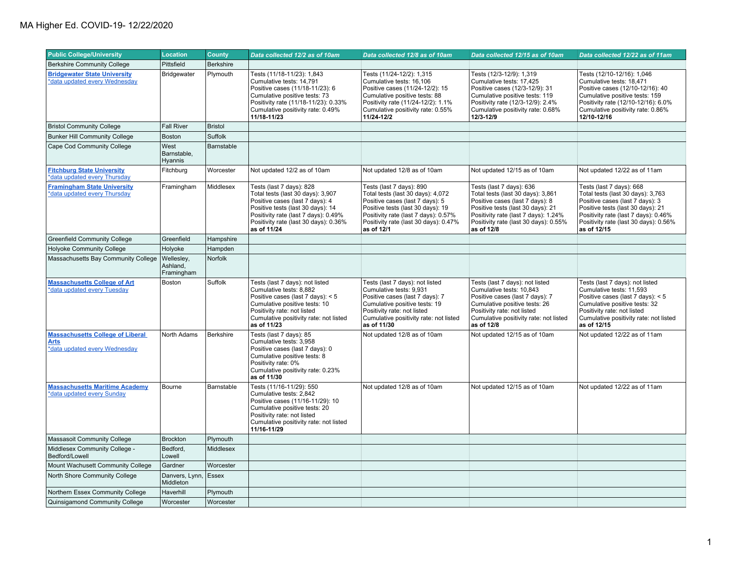| <b>Public College/University</b>                                                        | <b>Location</b>                       | <b>County</b>    | Data collected 12/2 as of 10am                                                                                                                                                                                                        | Data collected 12/8 as of 10am                                                                                                                                                                                                       | Data collected 12/15 as of 10am                                                                                                                                                                                                      | Data collected 12/22 as of 11am                                                                                                                                                                                                       |
|-----------------------------------------------------------------------------------------|---------------------------------------|------------------|---------------------------------------------------------------------------------------------------------------------------------------------------------------------------------------------------------------------------------------|--------------------------------------------------------------------------------------------------------------------------------------------------------------------------------------------------------------------------------------|--------------------------------------------------------------------------------------------------------------------------------------------------------------------------------------------------------------------------------------|---------------------------------------------------------------------------------------------------------------------------------------------------------------------------------------------------------------------------------------|
| <b>Berkshire Community College</b>                                                      | Pittsfield                            | <b>Berkshire</b> |                                                                                                                                                                                                                                       |                                                                                                                                                                                                                                      |                                                                                                                                                                                                                                      |                                                                                                                                                                                                                                       |
| <b>Bridgewater State University</b><br>*data updated every Wednesday                    | Bridgewater                           | Plymouth         | Tests (11/18-11/23): 1,843<br>Cumulative tests: 14,791<br>Positive cases (11/18-11/23): 6<br>Cumulative positive tests: 73<br>Positivity rate (11/18-11/23): 0.33%<br>Cumulative positivity rate: 0.49%<br>11/18-11/23                | Tests (11/24-12/2): 1,315<br>Cumulative tests: 16,106<br>Positive cases (11/24-12/2): 15<br>Cumulative positive tests: 88<br>Positivity rate (11/24-12/2): 1.1%<br>Cumulative positivity rate: 0.55%<br>11/24-12/2                   | Tests (12/3-12/9): 1,319<br>Cumulative tests: 17,425<br>Positive cases (12/3-12/9): 31<br>Cumulative positive tests: 119<br>Positivity rate (12/3-12/9): 2.4%<br>Cumulative positivity rate: 0.68%<br>12/3-12/9                      | Tests (12/10-12/16): 1,046<br>Cumulative tests: 18,471<br>Positive cases (12/10-12/16): 40<br>Cumulative positive tests: 159<br>Positivity rate (12/10-12/16): 6.0%<br>Cumulative positivity rate: 0.86%<br>12/10-12/16               |
| <b>Bristol Community College</b>                                                        | <b>Fall River</b>                     | <b>Bristol</b>   |                                                                                                                                                                                                                                       |                                                                                                                                                                                                                                      |                                                                                                                                                                                                                                      |                                                                                                                                                                                                                                       |
| <b>Bunker Hill Community College</b>                                                    | <b>Boston</b>                         | Suffolk          |                                                                                                                                                                                                                                       |                                                                                                                                                                                                                                      |                                                                                                                                                                                                                                      |                                                                                                                                                                                                                                       |
| Cape Cod Community College                                                              | West<br>Barnstable,<br><b>Hyannis</b> | Barnstable       |                                                                                                                                                                                                                                       |                                                                                                                                                                                                                                      |                                                                                                                                                                                                                                      |                                                                                                                                                                                                                                       |
| <b>Fitchburg State University</b><br>*data updated every Thursday                       | Fitchburg                             | Worcester        | Not updated 12/2 as of 10am                                                                                                                                                                                                           | Not updated 12/8 as of 10am                                                                                                                                                                                                          | Not updated 12/15 as of 10am                                                                                                                                                                                                         | Not updated 12/22 as of 11am                                                                                                                                                                                                          |
| <b>Framingham State University</b><br>*data updated every Thursday                      | Framingham                            | Middlesex        | Tests (last 7 days): 828<br>Total tests (last 30 days): 3,907<br>Positive cases (last 7 days): 4<br>Positive tests (last 30 days): 14<br>Positivity rate (last 7 days): 0.49%<br>Positivity rate (last 30 days): 0.36%<br>as of 11/24 | Tests (last 7 days): 890<br>Total tests (last 30 days): 4,072<br>Positive cases (last 7 days): 5<br>Positive tests (last 30 days): 19<br>Positivity rate (last 7 days): 0.57%<br>Positivity rate (last 30 days): 0.47%<br>as of 12/1 | Tests (last 7 days): 636<br>Total tests (last 30 days): 3,861<br>Positive cases (last 7 days): 8<br>Positive tests (last 30 days): 21<br>Positivity rate (last 7 days): 1.24%<br>Positivity rate (last 30 days): 0.55%<br>as of 12/8 | Tests (last 7 days): 668<br>Total tests (last 30 days): 3,763<br>Positive cases (last 7 days): 3<br>Positive tests (last 30 days): 21<br>Positivity rate (last 7 days): 0.46%<br>Positivity rate (last 30 days): 0.56%<br>as of 12/15 |
| <b>Greenfield Community College</b>                                                     | Greenfield                            | Hampshire        |                                                                                                                                                                                                                                       |                                                                                                                                                                                                                                      |                                                                                                                                                                                                                                      |                                                                                                                                                                                                                                       |
| <b>Holyoke Community College</b>                                                        | Holyoke                               | Hampden          |                                                                                                                                                                                                                                       |                                                                                                                                                                                                                                      |                                                                                                                                                                                                                                      |                                                                                                                                                                                                                                       |
| Massachusetts Bay Community College                                                     | Wellesley,<br>Ashland,<br>Framingham  | Norfolk          |                                                                                                                                                                                                                                       |                                                                                                                                                                                                                                      |                                                                                                                                                                                                                                      |                                                                                                                                                                                                                                       |
| <b>Massachusetts College of Art</b><br>*data updated every Tuesday                      | Boston                                | Suffolk          | Tests (last 7 days): not listed<br>Cumulative tests: 8,882<br>Positive cases (last 7 days): < 5<br>Cumulative positive tests: 10<br>Positivity rate: not listed<br>Cumulative positivity rate: not listed<br>as of 11/23              | Tests (last 7 days): not listed<br>Cumulative tests: 9,931<br>Positive cases (last 7 days): 7<br>Cumulative positive tests: 19<br>Positivity rate: not listed<br>Cumulative positivity rate: not listed<br>as of 11/30               | Tests (last 7 days): not listed<br>Cumulative tests: 10,843<br>Positive cases (last 7 days): 7<br>Cumulative positive tests: 26<br>Positivity rate: not listed<br>Cumulative positivity rate: not listed<br>as of 12/8               | Tests (last 7 days): not listed<br>Cumulative tests: 11,593<br>Positive cases (last 7 days): < 5<br>Cumulative positive tests: 32<br>Positivity rate: not listed<br>Cumulative positivity rate: not listed<br>as of 12/15             |
| <b>Massachusetts College of Liberal</b><br><b>Arts</b><br>*data updated every Wednesday | North Adams                           | <b>Berkshire</b> | Tests (last 7 days): 85<br>Cumulative tests: 3,958<br>Positive cases (last 7 days): 0<br>Cumulative positive tests: 8<br>Positivity rate: 0%<br>Cumulative positivity rate: 0.23%<br>as of 11/30                                      | Not updated 12/8 as of 10am                                                                                                                                                                                                          | Not updated 12/15 as of 10am                                                                                                                                                                                                         | Not updated 12/22 as of 11am                                                                                                                                                                                                          |
| <b>Massachusetts Maritime Academy</b><br>*data updated every Sunday                     | Bourne                                | Barnstable       | Tests (11/16-11/29): 550<br>Cumulative tests: 2,842<br>Positive cases (11/16-11/29): 10<br>Cumulative positive tests: 20<br>Positivity rate: not listed<br>Cumulative positivity rate: not listed<br>11/16-11/29                      | Not updated 12/8 as of 10am                                                                                                                                                                                                          | Not updated 12/15 as of 10am                                                                                                                                                                                                         | Not updated 12/22 as of 11am                                                                                                                                                                                                          |
| Massasoit Community College                                                             | <b>Brockton</b>                       | Plymouth         |                                                                                                                                                                                                                                       |                                                                                                                                                                                                                                      |                                                                                                                                                                                                                                      |                                                                                                                                                                                                                                       |
| Middlesex Community College -<br>Bedford/Lowell                                         | Bedford,<br>Lowell                    | Middlesex        |                                                                                                                                                                                                                                       |                                                                                                                                                                                                                                      |                                                                                                                                                                                                                                      |                                                                                                                                                                                                                                       |
| Mount Wachusett Community College                                                       | Gardner                               | Worcester        |                                                                                                                                                                                                                                       |                                                                                                                                                                                                                                      |                                                                                                                                                                                                                                      |                                                                                                                                                                                                                                       |
| North Shore Community College                                                           | Danvers, Lynn,<br>Middleton           | Essex            |                                                                                                                                                                                                                                       |                                                                                                                                                                                                                                      |                                                                                                                                                                                                                                      |                                                                                                                                                                                                                                       |
| Northern Essex Community College                                                        | Haverhill                             | Plymouth         |                                                                                                                                                                                                                                       |                                                                                                                                                                                                                                      |                                                                                                                                                                                                                                      |                                                                                                                                                                                                                                       |
| Quinsigamond Community College                                                          | Worcester                             | Worcester        |                                                                                                                                                                                                                                       |                                                                                                                                                                                                                                      |                                                                                                                                                                                                                                      |                                                                                                                                                                                                                                       |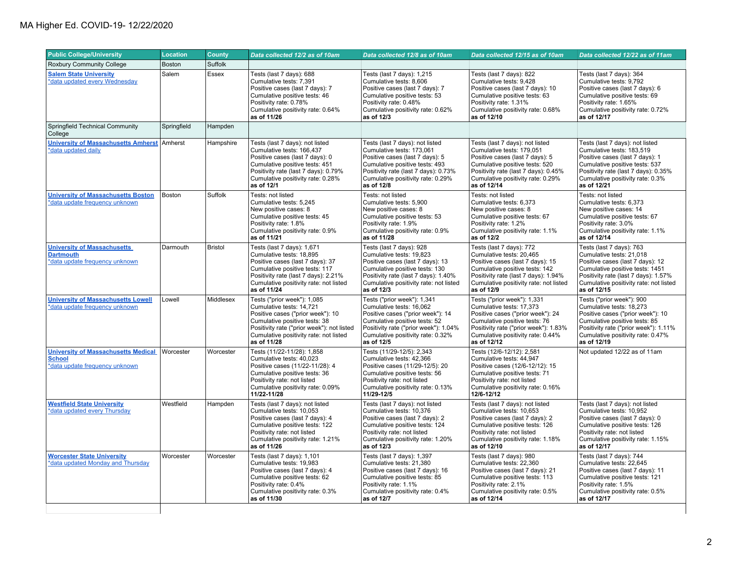| <b>Public College/University</b>                                                              | <b>Location</b> | <b>County</b>  | Data collected 12/2 as of 10am                                                                                                                                                                                                       | Data collected 12/8 as of 10am                                                                                                                                                                                               | Data collected 12/15 as of 10am                                                                                                                                                                                               | Data collected 12/22 as of 11am                                                                                                                                                                                              |
|-----------------------------------------------------------------------------------------------|-----------------|----------------|--------------------------------------------------------------------------------------------------------------------------------------------------------------------------------------------------------------------------------------|------------------------------------------------------------------------------------------------------------------------------------------------------------------------------------------------------------------------------|-------------------------------------------------------------------------------------------------------------------------------------------------------------------------------------------------------------------------------|------------------------------------------------------------------------------------------------------------------------------------------------------------------------------------------------------------------------------|
| <b>Roxbury Community College</b>                                                              | <b>Boston</b>   | Suffolk        |                                                                                                                                                                                                                                      |                                                                                                                                                                                                                              |                                                                                                                                                                                                                               |                                                                                                                                                                                                                              |
| <b>Salem State University</b><br>*data updated every Wednesday                                | Salem           | Essex          | Tests (last 7 days): 688<br>Cumulative tests: 7,391<br>Positive cases (last 7 days): 7<br>Cumulative positive tests: 46<br>Positivity rate: 0.78%<br>Cumulative positivity rate: 0.64%<br>as of 11/26                                | Tests (last 7 days): 1,215<br>Cumulative tests: 8,606<br>Positive cases (last 7 days): 7<br>Cumulative positive tests: 53<br>Positivity rate: 0.48%<br>Cumulative positivity rate: 0.62%<br>as of 12/3                       | Tests (last 7 days): 822<br>Cumulative tests: 9,428<br>Positive cases (last 7 days): 10<br>Cumulative positive tests: 63<br>Positivity rate: 1.31%<br>Cumulative positivity rate: 0.68%<br>as of 12/10                        | Tests (last 7 days): 364<br>Cumulative tests: 9,792<br>Positive cases (last 7 days): 6<br>Cumulative positive tests: 69<br>Positivity rate: 1.65%<br>Cumulative positivity rate: 0.72%<br>as of 12/17                        |
| Springfield Technical Community<br>College                                                    | Springfield     | Hampden        |                                                                                                                                                                                                                                      |                                                                                                                                                                                                                              |                                                                                                                                                                                                                               |                                                                                                                                                                                                                              |
| <b>University of Massachusetts Amherst</b><br>*data updated daily                             | Amherst         | Hampshire      | Tests (last 7 days): not listed<br>Cumulative tests: 166,437<br>Positive cases (last 7 days): 0<br>Cumulative positive tests: 451<br>Positivity rate (last 7 days): 0.79%<br>Cumulative positivity rate: 0.28%<br>as of 12/1         | Tests (last 7 days): not listed<br>Cumulative tests: 173,061<br>Positive cases (last 7 days): 5<br>Cumulative positive tests: 493<br>Positivity rate (last 7 days): 0.73%<br>Cumulative positivity rate: 0.29%<br>as of 12/8 | Tests (last 7 days): not listed<br>Cumulative tests: 179,051<br>Positive cases (last 7 days): 5<br>Cumulative positive tests: 520<br>Positivity rate (last 7 days): 0.45%<br>Cumulative positivity rate: 0.29%<br>as of 12/14 | Tests (last 7 days): not listed<br>Cumulative tests: 183,519<br>Positive cases (last 7 days): 1<br>Cumulative positive tests: 537<br>Positivity rate (last 7 days): 0.35%<br>Cumulative positivity rate: 0.3%<br>as of 12/21 |
| <b>University of Massachusetts Boston</b><br>*data update frequency unknown                   | Boston          | Suffolk        | Tests: not listed<br>Cumulative tests: 5,245<br>New positive cases: 8<br>Cumulative positive tests: 45<br>Positivity rate: 1.8%<br>Cumulative positivity rate: 0.9%<br>as of 11/21                                                   | Tests: not listed<br>Cumulative tests: 5,900<br>New positive cases: 8<br>Cumulative positive tests: 53<br>Positivity rate: 1.9%<br>Cumulative positivity rate: 0.9%<br>as of 11/28                                           | Tests: not listed<br>Cumulative tests: 6,373<br>New positive cases: 8<br>Cumulative positive tests: 67<br>Positivity rate: 1.2%<br>Cumulative positivity rate: 1.1%<br>as of 12/2                                             | Tests: not listed<br>Cumulative tests: 6,373<br>New positive cases: 14<br>Cumulative positive tests: 67<br>Positivity rate: 3.0%<br>Cumulative positivity rate: 1.1%<br>as of 12/14                                          |
| <b>University of Massachusetts</b><br><b>Dartmouth</b><br>*data update frequency unknown      | Darmouth        | <b>Bristol</b> | Tests (last 7 days): 1,671<br>Cumulative tests: 18.895<br>Positive cases (last 7 days): 37<br>Cumulative positive tests: 117<br>Positivity rate (last 7 days): 2.21%<br>Cumulative positivity rate: not listed<br>as of 11/24        | Tests (last 7 days): 928<br>Cumulative tests: 19.823<br>Positive cases (last 7 days): 13<br>Cumulative positive tests: 130<br>Positivity rate (last 7 days): 1.40%<br>Cumulative positivity rate: not listed<br>as of 12/3   | Tests (last 7 days): 772<br>Cumulative tests: 20.465<br>Positive cases (last 7 days): 15<br>Cumulative positive tests: 142<br>Positivity rate (last 7 days): 1.94%<br>Cumulative positivity rate: not listed<br>as of 12/9    | Tests (last 7 days): 763<br>Cumulative tests: 21.018<br>Positive cases (last 7 days): 12<br>Cumulative positive tests: 1451<br>Positivity rate (last 7 days): 1.57%<br>Cumulative positivity rate: not listed<br>as of 12/15 |
| <b>University of Massachusetts Lowell</b><br>*data update frequency unknown                   | Lowell          | Middlesex      | Tests ("prior week"): 1,085<br>Cumulative tests: 14,721<br>Positive cases ("prior week"): 10<br>Cumulative positive tests: 38<br>Positivity rate ("prior week"): not listed<br>Cumulative positivity rate: not listed<br>as of 11/28 | Tests ("prior week"): 1,341<br>Cumulative tests: 16,062<br>Positive cases ("prior week"): 14<br>Cumulative positive tests: 52<br>Positivity rate ("prior week"): 1.04%<br>Cumulative positivity rate: 0.32%<br>as of 12/5    | Tests ("prior week"): 1,331<br>Cumulative tests: 17,373<br>Positive cases ("prior week"): 24<br>Cumulative positive tests: 76<br>Positivity rate ("prior week"): 1.83%<br>Cumulative positivity rate: 0.44%<br>as of 12/12    | Tests ("prior week"): 900<br>Cumulative tests: 18,273<br>Positive cases ("prior week"): 10<br>Cumulative positive tests: 85<br>Positivity rate ("prior week"): 1.11%<br>Cumulative positivity rate: 0.47%<br>as of 12/19     |
| <b>University of Massachusetts Medical</b><br><b>School</b><br>*data update frequency unknown | Worcester       | Worcester      | Tests (11/22-11/28): 1,858<br>Cumulative tests: 40.023<br>Positive cases (11/22-11/28): 4<br>Cumulative positive tests: 36<br>Positivity rate: not listed<br>Cumulative positivity rate: 0.09%<br>11/22-11/28                        | Tests (11/29-12/5): 2,343<br>Cumulative tests: 42.366<br>Positive cases (11/29-12/5): 20<br>Cumulative positive tests: 56<br>Positivity rate: not listed<br>Cumulative positivity rate: 0.13%<br>11/29-12/5                  | Tests (12/6-12/12): 2,581<br>Cumulative tests: 44.947<br>Positive cases (12/6-12/12): 15<br>Cumulative positive tests: 71<br>Positivity rate: not listed<br>Cumulative positivity rate: 0.16%<br>12/6-12/12                   | Not updated 12/22 as of 11am                                                                                                                                                                                                 |
| <b>Westfield State University</b><br>*data updated every Thursday                             | Westfield       | Hampden        | Tests (last 7 days): not listed<br>Cumulative tests: 10,053<br>Positive cases (last 7 days): 4<br>Cumulative positive tests: 122<br>Positivity rate: not listed<br>Cumulative positivity rate: 1.21%<br>as of 11/26                  | Tests (last 7 days): not listed<br>Cumulative tests: 10,376<br>Positive cases (last 7 days): 2<br>Cumulative positive tests: 124<br>Positivity rate: not listed<br>Cumulative positivity rate: 1.20%<br>as of 12/3           | Tests (last 7 days): not listed<br>Cumulative tests: 10,653<br>Positive cases (last 7 days): 2<br>Cumulative positive tests: 126<br>Positivity rate: not listed<br>Cumulative positivity rate: 1.18%<br>as of 12/10           | Tests (last 7 days): not listed<br>Cumulative tests: 10,952<br>Positive cases (last 7 days): 0<br>Cumulative positive tests: 126<br>Positivity rate: not listed<br>Cumulative positivity rate: 1.15%<br>as of 12/17          |
| <b>Worcester State University</b><br>*data updated Monday and Thursday                        | Worcester       | Worcester      | Tests (last 7 days): 1,101<br>Cumulative tests: 19,983<br>Positive cases (last 7 days): 4<br>Cumulative positive tests: 62<br>Positivity rate: 0.4%<br>Cumulative positivity rate: 0.3%<br>as of 11/30                               | Tests (last 7 days): 1,397<br>Cumulative tests: 21,380<br>Positive cases (last 7 days): 16<br>Cumulative positive tests: 85<br>Positivity rate: 1.1%<br>Cumulative positivity rate: 0.4%<br>as of 12/7                       | Tests (last 7 days): 980<br>Cumulative tests: 22,360<br>Positive cases (last 7 days): 21<br>Cumulative positive tests: 113<br>Positivity rate: 2.1%<br>Cumulative positivity rate: 0.5%<br>as of 12/14                        | Tests (last 7 days): 744<br>Cumulative tests: 22,645<br>Positive cases (last 7 days): 11<br>Cumulative positive tests: 121<br>Positivity rate: 1.5%<br>Cumulative positivity rate: 0.5%<br>as of 12/17                       |